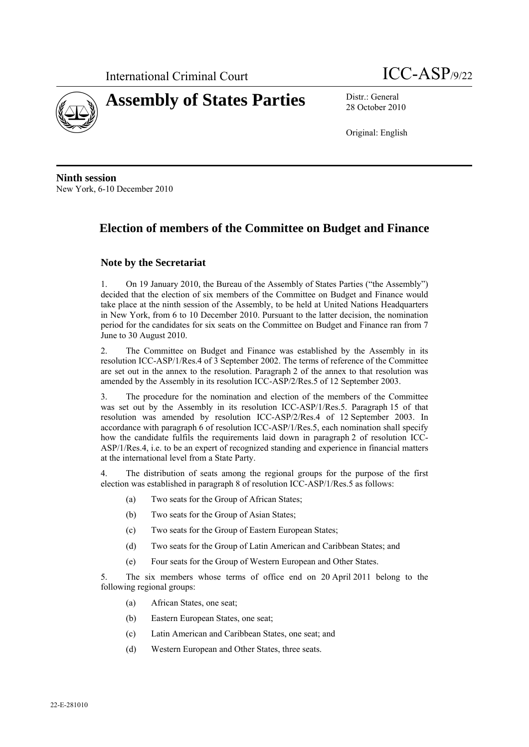



28 October 2010

Original: English

**Ninth session**  New York, 6-10 December 2010

# **Election of members of the Committee on Budget and Finance**

### **Note by the Secretariat**

1. On 19 January 2010, the Bureau of the Assembly of States Parties ("the Assembly") decided that the election of six members of the Committee on Budget and Finance would take place at the ninth session of the Assembly, to be held at United Nations Headquarters in New York, from 6 to 10 December 2010. Pursuant to the latter decision, the nomination period for the candidates for six seats on the Committee on Budget and Finance ran from 7 June to 30 August 2010.

2. The Committee on Budget and Finance was established by the Assembly in its resolution ICC-ASP/1/Res.4 of 3 September 2002. The terms of reference of the Committee are set out in the annex to the resolution. Paragraph 2 of the annex to that resolution was amended by the Assembly in its resolution ICC-ASP/2/Res.5 of 12 September 2003.

3. The procedure for the nomination and election of the members of the Committee was set out by the Assembly in its resolution ICC-ASP/1/Res.5. Paragraph 15 of that resolution was amended by resolution ICC-ASP/2/Res.4 of 12 September 2003. In accordance with paragraph 6 of resolution ICC-ASP/1/Res.5, each nomination shall specify how the candidate fulfils the requirements laid down in paragraph 2 of resolution ICC-ASP/1/Res.4, i.e. to be an expert of recognized standing and experience in financial matters at the international level from a State Party.

4. The distribution of seats among the regional groups for the purpose of the first election was established in paragraph 8 of resolution ICC-ASP/1/Res.5 as follows:

- (a) Two seats for the Group of African States;
- (b) Two seats for the Group of Asian States;
- (c) Two seats for the Group of Eastern European States;
- (d) Two seats for the Group of Latin American and Caribbean States; and
- (e) Four seats for the Group of Western European and Other States.

5. The six members whose terms of office end on 20 April 2011 belong to the following regional groups:

- (a) African States, one seat;
- (b) Eastern European States, one seat;
- (c) Latin American and Caribbean States, one seat; and
- (d) Western European and Other States, three seats.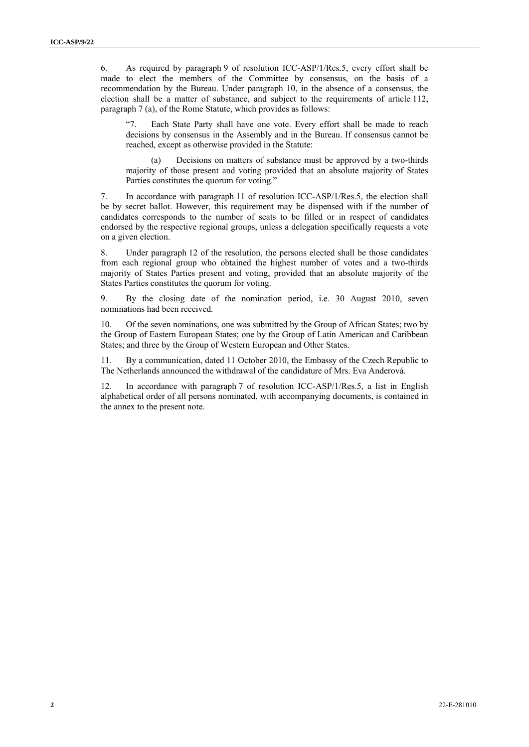6. As required by paragraph 9 of resolution ICC-ASP/1/Res.5, every effort shall be made to elect the members of the Committee by consensus, on the basis of a recommendation by the Bureau. Under paragraph 10, in the absence of a consensus, the election shall be a matter of substance, and subject to the requirements of article 112, paragraph 7 (a), of the Rome Statute, which provides as follows:

"7. Each State Party shall have one vote. Every effort shall be made to reach decisions by consensus in the Assembly and in the Bureau. If consensus cannot be reached, except as otherwise provided in the Statute:

(a) Decisions on matters of substance must be approved by a two-thirds majority of those present and voting provided that an absolute majority of States Parties constitutes the quorum for voting."

7. In accordance with paragraph 11 of resolution ICC-ASP/1/Res.5, the election shall be by secret ballot. However, this requirement may be dispensed with if the number of candidates corresponds to the number of seats to be filled or in respect of candidates endorsed by the respective regional groups, unless a delegation specifically requests a vote on a given election.

8. Under paragraph 12 of the resolution, the persons elected shall be those candidates from each regional group who obtained the highest number of votes and a two-thirds majority of States Parties present and voting, provided that an absolute majority of the States Parties constitutes the quorum for voting.

9. By the closing date of the nomination period, i.e. 30 August 2010, seven nominations had been received.

10. Of the seven nominations, one was submitted by the Group of African States; two by the Group of Eastern European States; one by the Group of Latin American and Caribbean States; and three by the Group of Western European and Other States.

11. By a communication, dated 11 October 2010, the Embassy of the Czech Republic to The Netherlands announced the withdrawal of the candidature of Mrs. Eva Anderová.

12. In accordance with paragraph 7 of resolution ICC-ASP/1/Res.5, a list in English alphabetical order of all persons nominated, with accompanying documents, is contained in the annex to the present note.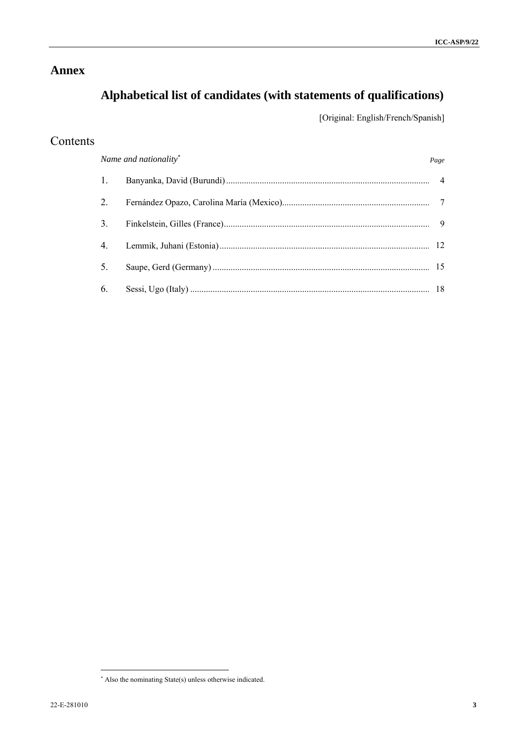# **Annex**

# **Alphabetical list of candidates (with statements of qualifications)**

[Original: English/French/Spanish]

# Contents

|    | Name and nationality* | Page |
|----|-----------------------|------|
|    |                       |      |
| 2. |                       |      |
| 3. |                       |      |
|    |                       |      |
| 5. |                       |      |
| 6. |                       |      |

 $\overline{a}$ 

 Also the nominating State(s) unless otherwise indicated.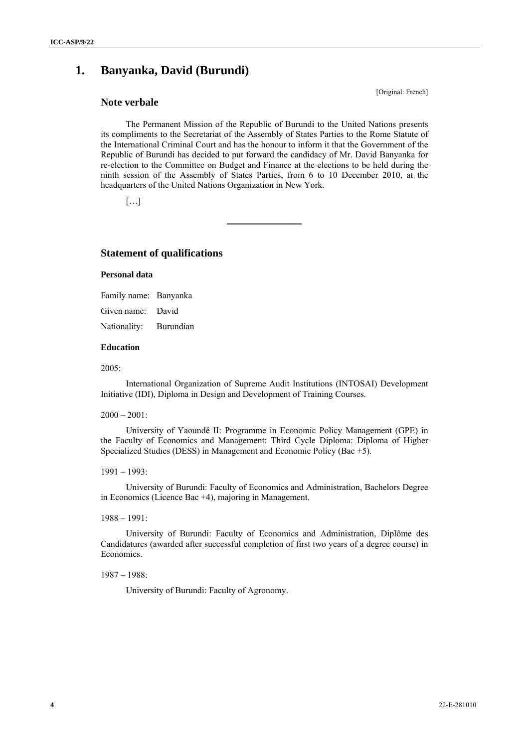# **1. Banyanka, David (Burundi)**

### **Note verbale**

[Original: French]

The Permanent Mission of the Republic of Burundi to the United Nations presents its compliments to the Secretariat of the Assembly of States Parties to the Rome Statute of the International Criminal Court and has the honour to inform it that the Government of the Republic of Burundi has decided to put forward the candidacy of Mr. David Banyanka for re-election to the Committee on Budget and Finance at the elections to be held during the ninth session of the Assembly of States Parties, from 6 to 10 December 2010, at the headquarters of the United Nations Organization in New York.

**\_\_\_\_\_\_\_\_\_\_\_\_** 

 $[\ldots]$ 

### **Statement of qualifications**

#### **Personal data**

Family name: Banyanka Given name: David Nationality: Burundian

### **Education**

2005:

International Organization of Supreme Audit Institutions (INTOSAI) Development Initiative (IDI), Diploma in Design and Development of Training Courses.

#### $2000 - 2001$ :

University of Yaoundé II: Programme in Economic Policy Management (GPE) in the Faculty of Economics and Management: Third Cycle Diploma: Diploma of Higher Specialized Studies (DESS) in Management and Economic Policy (Bac +5).

### 1991 – 1993:

University of Burundi: Faculty of Economics and Administration, Bachelors Degree in Economics (Licence Bac +4), majoring in Management.

### 1988 – 1991:

University of Burundi: Faculty of Economics and Administration, Diplôme des Candidatures (awarded after successful completion of first two years of a degree course) in Economics.

1987 – 1988:

University of Burundi: Faculty of Agronomy.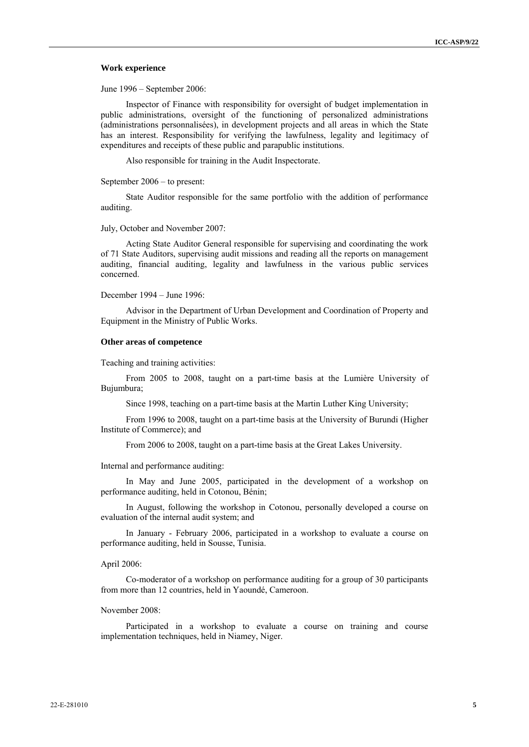#### **Work experience**

June 1996 – September 2006:

Inspector of Finance with responsibility for oversight of budget implementation in public administrations, oversight of the functioning of personalized administrations (administrations personnalisées), in development projects and all areas in which the State has an interest. Responsibility for verifying the lawfulness, legality and legitimacy of expenditures and receipts of these public and parapublic institutions.

Also responsible for training in the Audit Inspectorate.

September 2006 – to present:

State Auditor responsible for the same portfolio with the addition of performance auditing.

#### July, October and November 2007:

Acting State Auditor General responsible for supervising and coordinating the work of 71 State Auditors, supervising audit missions and reading all the reports on management auditing, financial auditing, legality and lawfulness in the various public services concerned.

December 1994 – June 1996:

Advisor in the Department of Urban Development and Coordination of Property and Equipment in the Ministry of Public Works.

#### **Other areas of competence**

Teaching and training activities:

From 2005 to 2008, taught on a part-time basis at the Lumière University of Bujumbura;

Since 1998, teaching on a part-time basis at the Martin Luther King University;

From 1996 to 2008, taught on a part-time basis at the University of Burundi (Higher Institute of Commerce); and

From 2006 to 2008, taught on a part-time basis at the Great Lakes University.

Internal and performance auditing:

In May and June 2005, participated in the development of a workshop on performance auditing, held in Cotonou, Bénin;

In August, following the workshop in Cotonou, personally developed a course on evaluation of the internal audit system; and

In January - February 2006, participated in a workshop to evaluate a course on performance auditing, held in Sousse, Tunisia.

#### April 2006:

Co-moderator of a workshop on performance auditing for a group of 30 participants from more than 12 countries, held in Yaoundé, Cameroon.

#### November 2008:

Participated in a workshop to evaluate a course on training and course implementation techniques, held in Niamey, Niger.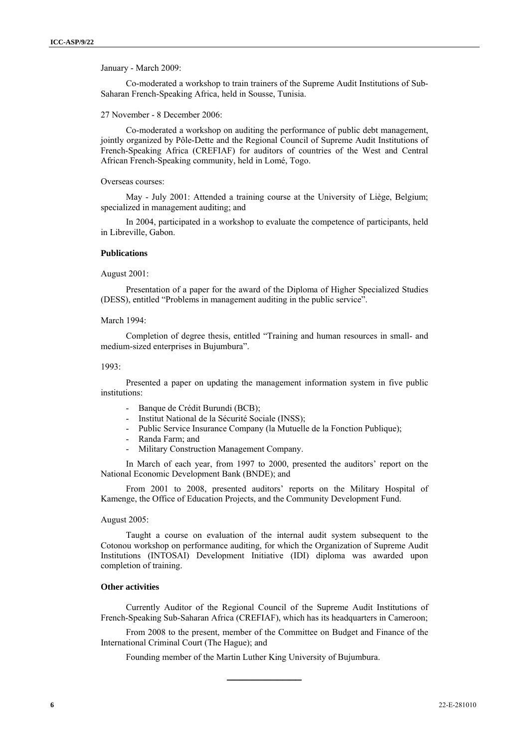January - March 2009:

Co-moderated a workshop to train trainers of the Supreme Audit Institutions of Sub-Saharan French-Speaking Africa, held in Sousse, Tunisia.

27 November - 8 December 2006:

Co-moderated a workshop on auditing the performance of public debt management, jointly organized by Pôle-Dette and the Regional Council of Supreme Audit Institutions of French-Speaking Africa (CREFIAF) for auditors of countries of the West and Central African French-Speaking community, held in Lomé, Togo.

Overseas courses:

May - July 2001: Attended a training course at the University of Liège, Belgium; specialized in management auditing; and

In 2004, participated in a workshop to evaluate the competence of participants, held in Libreville, Gabon.

#### **Publications**

August 2001:

Presentation of a paper for the award of the Diploma of Higher Specialized Studies (DESS), entitled "Problems in management auditing in the public service".

March 1994:

Completion of degree thesis, entitled "Training and human resources in small- and medium-sized enterprises in Bujumbura".

1993:

Presented a paper on updating the management information system in five public institutions:

- Banque de Crédit Burundi (BCB);
- Institut National de la Sécurité Sociale (INSS);
- Public Service Insurance Company (la Mutuelle de la Fonction Publique);
- Randa Farm; and
- Military Construction Management Company.

In March of each year, from 1997 to 2000, presented the auditors' report on the National Economic Development Bank (BNDE); and

From 2001 to 2008, presented auditors' reports on the Military Hospital of Kamenge, the Office of Education Projects, and the Community Development Fund.

#### August 2005:

Taught a course on evaluation of the internal audit system subsequent to the Cotonou workshop on performance auditing, for which the Organization of Supreme Audit Institutions (INTOSAI) Development Initiative (IDI) diploma was awarded upon completion of training.

### **Other activities**

Currently Auditor of the Regional Council of the Supreme Audit Institutions of French-Speaking Sub-Saharan Africa (CREFIAF), which has its headquarters in Cameroon;

From 2008 to the present, member of the Committee on Budget and Finance of the International Criminal Court (The Hague); and

**\_\_\_\_\_\_\_\_\_\_\_\_** 

Founding member of the Martin Luther King University of Bujumbura.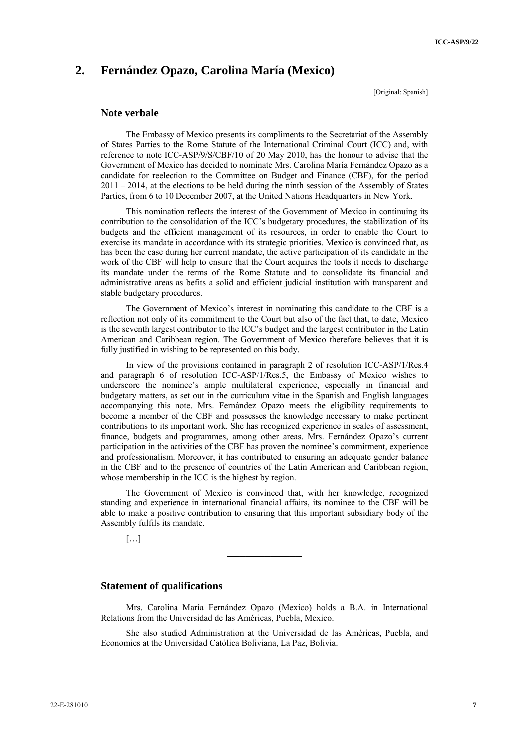# **2. Fernández Opazo, Carolina María (Mexico)**

[Original: Spanish]

### **Note verbale**

The Embassy of Mexico presents its compliments to the Secretariat of the Assembly of States Parties to the Rome Statute of the International Criminal Court (ICC) and, with reference to note ICC-ASP/9/S/CBF/10 of 20 May 2010, has the honour to advise that the Government of Mexico has decided to nominate Mrs. Carolina María Fernández Opazo as a candidate for reelection to the Committee on Budget and Finance (CBF), for the period 2011 – 2014, at the elections to be held during the ninth session of the Assembly of States Parties, from 6 to 10 December 2007, at the United Nations Headquarters in New York.

This nomination reflects the interest of the Government of Mexico in continuing its contribution to the consolidation of the ICC's budgetary procedures, the stabilization of its budgets and the efficient management of its resources, in order to enable the Court to exercise its mandate in accordance with its strategic priorities. Mexico is convinced that, as has been the case during her current mandate, the active participation of its candidate in the work of the CBF will help to ensure that the Court acquires the tools it needs to discharge its mandate under the terms of the Rome Statute and to consolidate its financial and administrative areas as befits a solid and efficient judicial institution with transparent and stable budgetary procedures.

The Government of Mexico's interest in nominating this candidate to the CBF is a reflection not only of its commitment to the Court but also of the fact that, to date, Mexico is the seventh largest contributor to the ICC's budget and the largest contributor in the Latin American and Caribbean region. The Government of Mexico therefore believes that it is fully justified in wishing to be represented on this body.

In view of the provisions contained in paragraph 2 of resolution ICC-ASP/1/Res.4 and paragraph 6 of resolution ICC-ASP/1/Res.5, the Embassy of Mexico wishes to underscore the nominee's ample multilateral experience, especially in financial and budgetary matters, as set out in the curriculum vitae in the Spanish and English languages accompanying this note. Mrs. Fernández Opazo meets the eligibility requirements to become a member of the CBF and possesses the knowledge necessary to make pertinent contributions to its important work. She has recognized experience in scales of assessment, finance, budgets and programmes, among other areas. Mrs. Fernández Opazo's current participation in the activities of the CBF has proven the nominee's commitment, experience and professionalism. Moreover, it has contributed to ensuring an adequate gender balance in the CBF and to the presence of countries of the Latin American and Caribbean region, whose membership in the ICC is the highest by region.

The Government of Mexico is convinced that, with her knowledge, recognized standing and experience in international financial affairs, its nominee to the CBF will be able to make a positive contribution to ensuring that this important subsidiary body of the Assembly fulfils its mandate.

**\_\_\_\_\_\_\_\_\_\_\_\_** 

 $[\ldots]$ 

### **Statement of qualifications**

Mrs. Carolina María Fernández Opazo (Mexico) holds a B.A. in International Relations from the Universidad de las Américas, Puebla, Mexico.

She also studied Administration at the Universidad de las Américas, Puebla, and Economics at the Universidad Católica Boliviana, La Paz, Bolivia.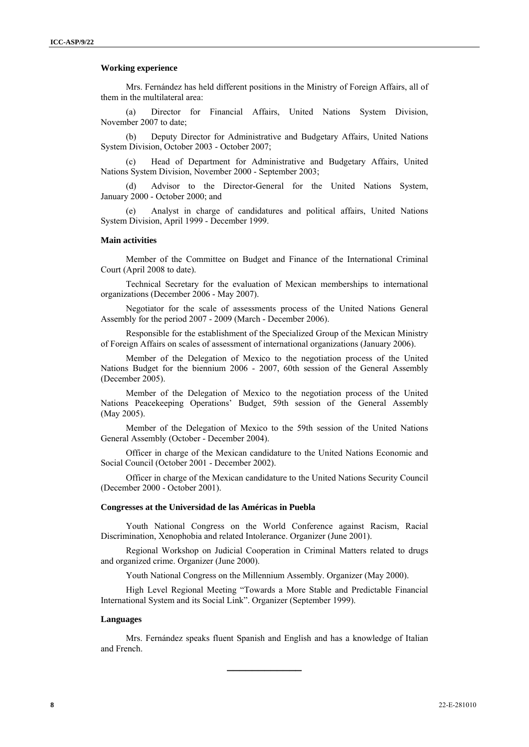#### **Working experience**

Mrs. Fernández has held different positions in the Ministry of Foreign Affairs, all of them in the multilateral area:

(a) Director for Financial Affairs, United Nations System Division, November 2007 to date;

(b) Deputy Director for Administrative and Budgetary Affairs, United Nations System Division, October 2003 - October 2007;

Head of Department for Administrative and Budgetary Affairs, United Nations System Division, November 2000 - September 2003;

Advisor to the Director-General for the United Nations System, January 2000 - October 2000; and

(e) Analyst in charge of candidatures and political affairs, United Nations System Division, April 1999 - December 1999.

#### **Main activities**

Member of the Committee on Budget and Finance of the International Criminal Court (April 2008 to date).

Technical Secretary for the evaluation of Mexican memberships to international organizations (December 2006 - May 2007).

Negotiator for the scale of assessments process of the United Nations General Assembly for the period 2007 - 2009 (March - December 2006).

Responsible for the establishment of the Specialized Group of the Mexican Ministry of Foreign Affairs on scales of assessment of international organizations (January 2006).

Member of the Delegation of Mexico to the negotiation process of the United Nations Budget for the biennium 2006 - 2007, 60th session of the General Assembly (December 2005).

Member of the Delegation of Mexico to the negotiation process of the United Nations Peacekeeping Operations' Budget, 59th session of the General Assembly (May 2005).

Member of the Delegation of Mexico to the 59th session of the United Nations General Assembly (October - December 2004).

Officer in charge of the Mexican candidature to the United Nations Economic and Social Council (October 2001 - December 2002).

Officer in charge of the Mexican candidature to the United Nations Security Council (December 2000 - October 2001).

#### **Congresses at the Universidad de las Américas in Puebla**

Youth National Congress on the World Conference against Racism, Racial Discrimination, Xenophobia and related Intolerance. Organizer (June 2001).

Regional Workshop on Judicial Cooperation in Criminal Matters related to drugs and organized crime. Organizer (June 2000).

Youth National Congress on the Millennium Assembly. Organizer (May 2000).

High Level Regional Meeting "Towards a More Stable and Predictable Financial International System and its Social Link". Organizer (September 1999).

#### **Languages**

Mrs. Fernández speaks fluent Spanish and English and has a knowledge of Italian and French.

**\_\_\_\_\_\_\_\_\_\_\_\_**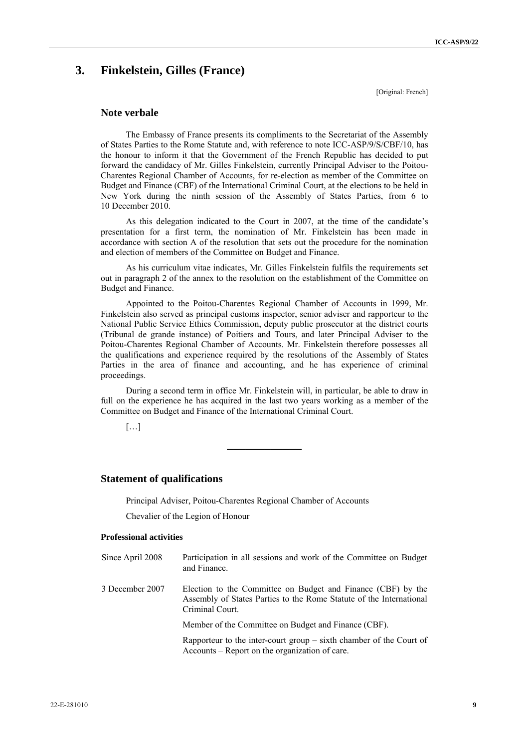# **3. Finkelstein, Gilles (France)**

[Original: French]

### **Note verbale**

The Embassy of France presents its compliments to the Secretariat of the Assembly of States Parties to the Rome Statute and, with reference to note ICC-ASP/9/S/CBF/10, has the honour to inform it that the Government of the French Republic has decided to put forward the candidacy of Mr. Gilles Finkelstein, currently Principal Adviser to the Poitou-Charentes Regional Chamber of Accounts, for re-election as member of the Committee on Budget and Finance (CBF) of the International Criminal Court, at the elections to be held in New York during the ninth session of the Assembly of States Parties, from 6 to 10 December 2010.

As this delegation indicated to the Court in 2007, at the time of the candidate's presentation for a first term, the nomination of Mr. Finkelstein has been made in accordance with section A of the resolution that sets out the procedure for the nomination and election of members of the Committee on Budget and Finance.

As his curriculum vitae indicates, Mr. Gilles Finkelstein fulfils the requirements set out in paragraph 2 of the annex to the resolution on the establishment of the Committee on Budget and Finance.

Appointed to the Poitou-Charentes Regional Chamber of Accounts in 1999, Mr. Finkelstein also served as principal customs inspector, senior adviser and rapporteur to the National Public Service Ethics Commission, deputy public prosecutor at the district courts (Tribunal de grande instance) of Poitiers and Tours, and later Principal Adviser to the Poitou-Charentes Regional Chamber of Accounts. Mr. Finkelstein therefore possesses all the qualifications and experience required by the resolutions of the Assembly of States Parties in the area of finance and accounting, and he has experience of criminal proceedings.

During a second term in office Mr. Finkelstein will, in particular, be able to draw in full on the experience he has acquired in the last two years working as a member of the Committee on Budget and Finance of the International Criminal Court.

**\_\_\_\_\_\_\_\_\_\_\_\_** 

[…]

### **Statement of qualifications**

Principal Adviser, Poitou-Charentes Regional Chamber of Accounts

Chevalier of the Legion of Honour

#### **Professional activities**

| Since April 2008 | Participation in all sessions and work of the Committee on Budget<br>and Finance.                                                                      |
|------------------|--------------------------------------------------------------------------------------------------------------------------------------------------------|
| 3 December 2007  | Election to the Committee on Budget and Finance (CBF) by the<br>Assembly of States Parties to the Rome Statute of the International<br>Criminal Court. |
|                  | Member of the Committee on Budget and Finance (CBF).                                                                                                   |
|                  | Rapporteur to the inter-court group $-$ sixth chamber of the Court of<br>Accounts – Report on the organization of care.                                |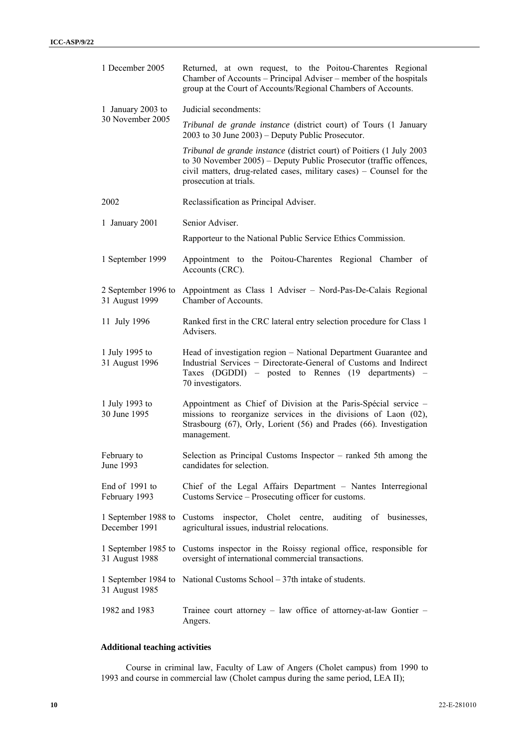| 1 December 2005                       | Returned, at own request, to the Poitou-Charentes Regional<br>Chamber of Accounts – Principal Adviser – member of the hospitals<br>group at the Court of Accounts/Regional Chambers of Accounts.                                              |
|---------------------------------------|-----------------------------------------------------------------------------------------------------------------------------------------------------------------------------------------------------------------------------------------------|
| 1 January 2003 to                     | Judicial secondments:                                                                                                                                                                                                                         |
| 30 November 2005                      | Tribunal de grande instance (district court) of Tours (1 January<br>2003 to 30 June 2003) - Deputy Public Prosecutor.                                                                                                                         |
|                                       | Tribunal de grande instance (district court) of Poitiers (1 July 2003<br>to 30 November 2005) – Deputy Public Prosecutor (traffic offences,<br>civil matters, drug-related cases, military cases) – Counsel for the<br>prosecution at trials. |
| 2002                                  | Reclassification as Principal Adviser.                                                                                                                                                                                                        |
| 1 January 2001                        | Senior Adviser.                                                                                                                                                                                                                               |
|                                       | Rapporteur to the National Public Service Ethics Commission.                                                                                                                                                                                  |
| 1 September 1999                      | Appointment to the Poitou-Charentes Regional Chamber of<br>Accounts (CRC).                                                                                                                                                                    |
| 2 September 1996 to<br>31 August 1999 | Appointment as Class 1 Adviser - Nord-Pas-De-Calais Regional<br>Chamber of Accounts.                                                                                                                                                          |
| 11 July 1996                          | Ranked first in the CRC lateral entry selection procedure for Class 1<br>Advisers.                                                                                                                                                            |
| 1 July 1995 to<br>31 August 1996      | Head of investigation region - National Department Guarantee and<br>Industrial Services - Directorate-General of Customs and Indirect<br>Taxes (DGDDI) – posted to Rennes (19 departments) –<br>70 investigators.                             |
| 1 July 1993 to<br>30 June 1995        | Appointment as Chief of Division at the Paris-Spécial service -<br>missions to reorganize services in the divisions of Laon (02),<br>Strasbourg (67), Orly, Lorient (56) and Prades (66). Investigation<br>management.                        |
| February to<br>June 1993              | Selection as Principal Customs Inspector – ranked 5th among the<br>candidates for selection.                                                                                                                                                  |
| End of 1991 to<br>February 1993       | Chief of the Legal Affairs Department - Nantes Interregional<br>Customs Service – Prosecuting officer for customs.                                                                                                                            |
| 1 September 1988 to<br>December 1991  | Cholet centre,<br>inspector,<br>auditing of<br>businesses,<br>Customs<br>agricultural issues, industrial relocations.                                                                                                                         |
| 1 September 1985 to<br>31 August 1988 | Customs inspector in the Roissy regional office, responsible for<br>oversight of international commercial transactions.                                                                                                                       |
| 1 September 1984 to<br>31 August 1985 | National Customs School – 37th intake of students.                                                                                                                                                                                            |
| 1982 and 1983                         | Trainee court attorney – law office of attorney-at-law Gontier –<br>Angers.                                                                                                                                                                   |

### **Additional teaching activities**

Course in criminal law, Faculty of Law of Angers (Cholet campus) from 1990 to 1993 and course in commercial law (Cholet campus during the same period, LEA II);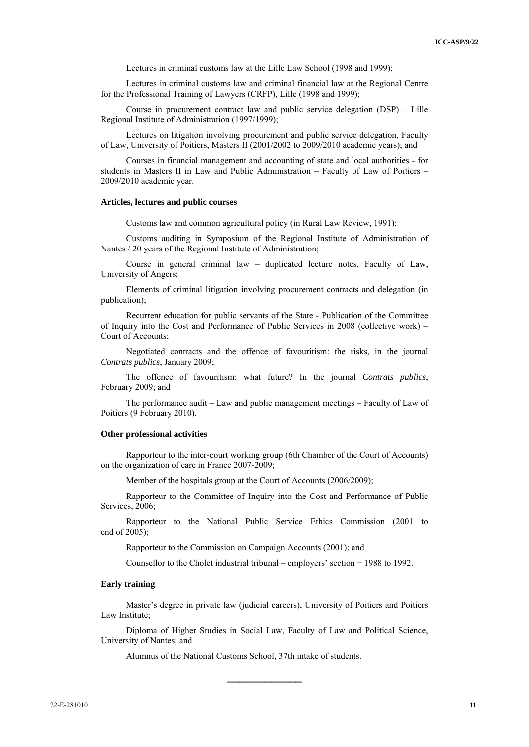Lectures in criminal customs law at the Lille Law School (1998 and 1999);

Lectures in criminal customs law and criminal financial law at the Regional Centre for the Professional Training of Lawyers (CRFP), Lille (1998 and 1999);

Course in procurement contract law and public service delegation (DSP) – Lille Regional Institute of Administration (1997/1999);

Lectures on litigation involving procurement and public service delegation, Faculty of Law, University of Poitiers, Masters II (2001/2002 to 2009/2010 academic years); and

Courses in financial management and accounting of state and local authorities - for students in Masters II in Law and Public Administration – Faculty of Law of Poitiers – 2009/2010 academic year.

#### **Articles, lectures and public courses**

Customs law and common agricultural policy (in Rural Law Review, 1991);

Customs auditing in Symposium of the Regional Institute of Administration of Nantes / 20 years of the Regional Institute of Administration;

Course in general criminal law – duplicated lecture notes, Faculty of Law, University of Angers;

Elements of criminal litigation involving procurement contracts and delegation (in publication);

Recurrent education for public servants of the State - Publication of the Committee of Inquiry into the Cost and Performance of Public Services in 2008 (collective work) – Court of Accounts;

Negotiated contracts and the offence of favouritism: the risks, in the journal *Contrats publics*, January 2009;

The offence of favouritism: what future? In the journal *Contrats publics*, February 2009; and

The performance audit – Law and public management meetings – Faculty of Law of Poitiers (9 February 2010).

#### **Other professional activities**

Rapporteur to the inter-court working group (6th Chamber of the Court of Accounts) on the organization of care in France 2007-2009;

Member of the hospitals group at the Court of Accounts (2006/2009);

Rapporteur to the Committee of Inquiry into the Cost and Performance of Public Services, 2006;

Rapporteur to the National Public Service Ethics Commission (2001 to end of 2005);

Rapporteur to the Commission on Campaign Accounts (2001); and

Counsellor to the Cholet industrial tribunal – employers' section − 1988 to 1992.

### **Early training**

Master's degree in private law (judicial careers), University of Poitiers and Poitiers Law Institute;

Diploma of Higher Studies in Social Law, Faculty of Law and Political Science, University of Nantes; and

**\_\_\_\_\_\_\_\_\_\_\_\_** 

Alumnus of the National Customs School, 37th intake of students.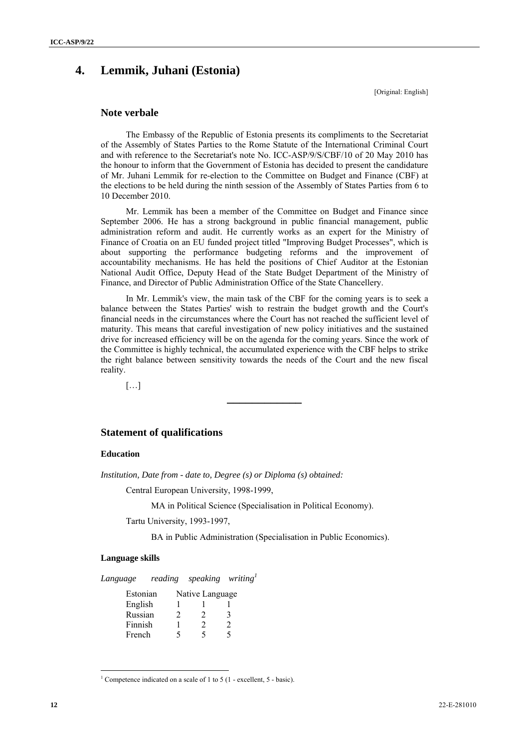# **4. Lemmik, Juhani (Estonia)**

[Original: English]

### **Note verbale**

The Embassy of the Republic of Estonia presents its compliments to the Secretariat of the Assembly of States Parties to the Rome Statute of the International Criminal Court and with reference to the Secretariat's note No. ICC-ASP/9/S/CBF/10 of 20 May 2010 has the honour to inform that the Government of Estonia has decided to present the candidature of Mr. Juhani Lemmik for re-election to the Committee on Budget and Finance (CBF) at the elections to be held during the ninth session of the Assembly of States Parties from 6 to 10 December 2010.

Mr. Lemmik has been a member of the Committee on Budget and Finance since September 2006. He has a strong background in public financial management, public administration reform and audit. He currently works as an expert for the Ministry of Finance of Croatia on an EU funded project titled "Improving Budget Processes", which is about supporting the performance budgeting reforms and the improvement of accountability mechanisms. He has held the positions of Chief Auditor at the Estonian National Audit Office, Deputy Head of the State Budget Department of the Ministry of Finance, and Director of Public Administration Office of the State Chancellery.

In Mr. Lemmik's view, the main task of the CBF for the coming years is to seek a balance between the States Parties' wish to restrain the budget growth and the Court's financial needs in the circumstances where the Court has not reached the sufficient level of maturity. This means that careful investigation of new policy initiatives and the sustained drive for increased efficiency will be on the agenda for the coming years. Since the work of the Committee is highly technical, the accumulated experience with the CBF helps to strike the right balance between sensitivity towards the needs of the Court and the new fiscal reality.

**\_\_\_\_\_\_\_\_\_\_\_\_** 

 $[\ldots]$ 

### **Statement of qualifications**

### **Education**

*Institution, Date from - date to, Degree (s) or Diploma (s) obtained:* 

Central European University, 1998-1999,

MA in Political Science (Specialisation in Political Economy).

Tartu University, 1993-1997,

BA in Public Administration (Specialisation in Public Economics).

### **Language skills**

 $\overline{a}$ 

*Language reading speaking writing<sup>1</sup>*

| Estonian |   | Native Language |   |
|----------|---|-----------------|---|
| English  |   |                 |   |
| Russian  | 2 | 2               | 3 |
| Finnish  |   | 2               | 2 |
| French   | 5 | ↖               | ↖ |

<sup>&</sup>lt;sup>1</sup> Competence indicated on a scale of 1 to 5 (1 - excellent, 5 - basic).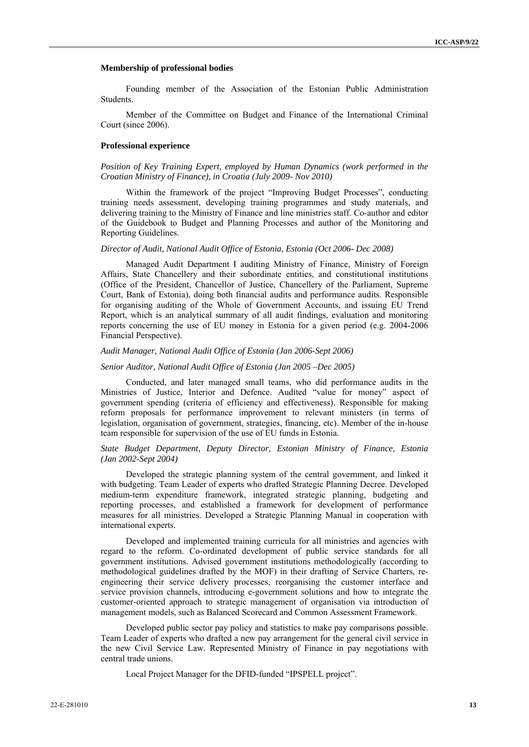#### **Membership of professional bodies**

Founding member of the Association of the Estonian Public Administration Students.

Member of the Committee on Budget and Finance of the International Criminal Court (since 2006).

#### **Professional experience**

*Position of Key Training Expert, employed by Human Dynamics (work performed in the Croatian Ministry of Finance), in Croatia (July 2009- Nov 2010)* 

Within the framework of the project "Improving Budget Processes", conducting training needs assessment, developing training programmes and study materials, and delivering training to the Ministry of Finance and line ministries staff. Co-author and editor of the Guidebook to Budget and Planning Processes and author of the Monitoring and Reporting Guidelines.

#### *Director of Audit, National Audit Office of Estonia, Estonia (Oct 2006- Dec 2008)*

Managed Audit Department I auditing Ministry of Finance, Ministry of Foreign Affairs, State Chancellery and their subordinate entities, and constitutional institutions (Office of the President, Chancellor of Justice, Chancellery of the Parliament, Supreme Court, Bank of Estonia), doing both financial audits and performance audits. Responsible for organising auditing of the Whole of Government Accounts, and issuing EU Trend Report, which is an analytical summary of all audit findings, evaluation and monitoring reports concerning the use of EU money in Estonia for a given period (e.g. 2004-2006 Financial Perspective).

#### *Audit Manager, National Audit Office of Estonia (Jan 2006-Sept 2006)*

#### *Senior Auditor, National Audit Office of Estonia (Jan 2005 –Dec 2005)*

Conducted, and later managed small teams, who did performance audits in the Ministries of Justice, Interior and Defence. Audited "value for money" aspect of government spending (criteria of efficiency and effectiveness). Responsible for making reform proposals for performance improvement to relevant ministers (in terms of legislation, organisation of government, strategies, financing, etc). Member of the in-house team responsible for supervision of the use of EU funds in Estonia.

#### *State Budget Department, Deputy Director, Estonian Ministry of Finance, Estonia (Jan 2002-Sept 2004)*

Developed the strategic planning system of the central government, and linked it with budgeting. Team Leader of experts who drafted Strategic Planning Decree. Developed medium-term expenditure framework, integrated strategic planning, budgeting and reporting processes, and established a framework for development of performance measures for all ministries. Developed a Strategic Planning Manual in cooperation with international experts.

Developed and implemented training curricula for all ministries and agencies with regard to the reform. Co-ordinated development of public service standards for all government institutions. Advised government institutions methodologically (according to methodological guidelines drafted by the MOF) in their drafting of Service Charters, reengineering their service delivery processes, reorganising the customer interface and service provision channels, introducing e-government solutions and how to integrate the customer-oriented approach to strategic management of organisation via introduction of management models, such as Balanced Scorecard and Common Assessment Framework.

Developed public sector pay policy and statistics to make pay comparisons possible. Team Leader of experts who drafted a new pay arrangement for the general civil service in the new Civil Service Law. Represented Ministry of Finance in pay negotiations with central trade unions.

Local Project Manager for the DFID-funded "IPSPELL project".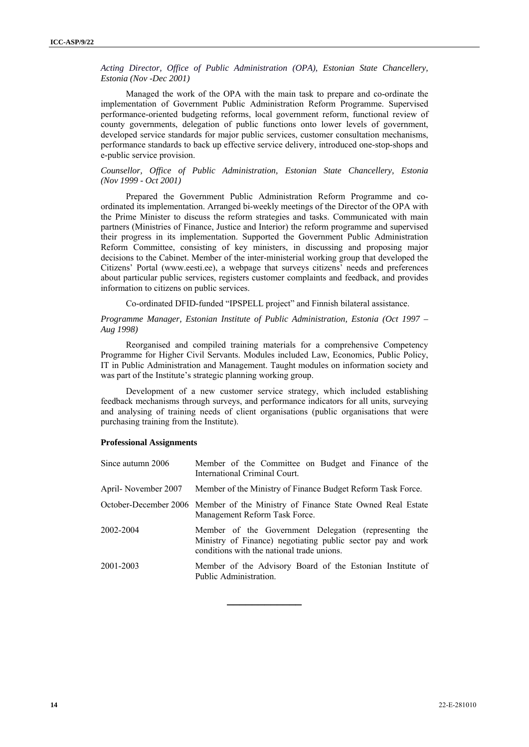*Acting Director, Office of Public Administration (OPA), Estonian State Chancellery, Estonia (Nov -Dec 2001)* 

Managed the work of the OPA with the main task to prepare and co-ordinate the implementation of Government Public Administration Reform Programme. Supervised performance-oriented budgeting reforms, local government reform, functional review of county governments, delegation of public functions onto lower levels of government, developed service standards for major public services, customer consultation mechanisms, performance standards to back up effective service delivery, introduced one-stop-shops and e-public service provision.

### *Counsellor, Office of Public Administration, Estonian State Chancellery, Estonia (Nov 1999 - Oct 2001)*

Prepared the Government Public Administration Reform Programme and coordinated its implementation. Arranged bi-weekly meetings of the Director of the OPA with the Prime Minister to discuss the reform strategies and tasks. Communicated with main partners (Ministries of Finance, Justice and Interior) the reform programme and supervised their progress in its implementation. Supported the Government Public Administration Reform Committee, consisting of key ministers, in discussing and proposing major decisions to the Cabinet. Member of the inter-ministerial working group that developed the Citizens' Portal (www.eesti.ee), a webpage that surveys citizens' needs and preferences about particular public services, registers customer complaints and feedback, and provides information to citizens on public services.

Co-ordinated DFID-funded "IPSPELL project" and Finnish bilateral assistance.

### *Programme Manager, Estonian Institute of Public Administration, Estonia (Oct 1997 – Aug 1998)*

Reorganised and compiled training materials for a comprehensive Competency Programme for Higher Civil Servants. Modules included Law, Economics, Public Policy, IT in Public Administration and Management. Taught modules on information society and was part of the Institute's strategic planning working group.

Development of a new customer service strategy, which included establishing feedback mechanisms through surveys, and performance indicators for all units, surveying and analysing of training needs of client organisations (public organisations that were purchasing training from the Institute).

#### **Professional Assignments**

| Since autumn 2006   | Member of the Committee on Budget and Finance of the<br>International Criminal Court.                                                                              |
|---------------------|--------------------------------------------------------------------------------------------------------------------------------------------------------------------|
| April-November 2007 | Member of the Ministry of Finance Budget Reform Task Force.                                                                                                        |
|                     | October-December 2006 Member of the Ministry of Finance State Owned Real Estate<br>Management Reform Task Force.                                                   |
| 2002-2004           | Member of the Government Delegation (representing the<br>Ministry of Finance) negotiating public sector pay and work<br>conditions with the national trade unions. |
| 2001-2003           | Member of the Advisory Board of the Estonian Institute of<br>Public Administration.                                                                                |

**\_\_\_\_\_\_\_\_\_\_\_\_**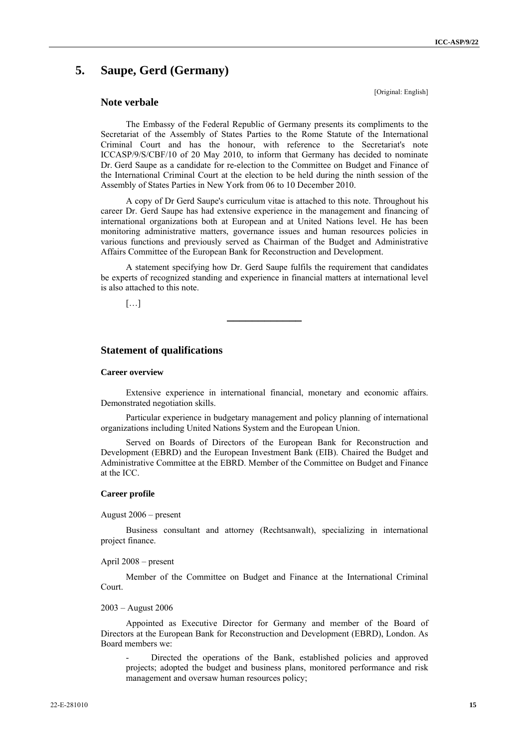# **5. Saupe, Gerd (Germany)**

### **Note verbale**

[Original: English]

The Embassy of the Federal Republic of Germany presents its compliments to the Secretariat of the Assembly of States Parties to the Rome Statute of the International Criminal Court and has the honour, with reference to the Secretariat's note ICCASP/9/S/CBF/10 of 20 May 2010, to inform that Germany has decided to nominate Dr. Gerd Saupe as a candidate for re-election to the Committee on Budget and Finance of the International Criminal Court at the election to be held during the ninth session of the Assembly of States Parties in New York from 06 to 10 December 2010.

A copy of Dr Gerd Saupe's curriculum vitae is attached to this note. Throughout his career Dr. Gerd Saupe has had extensive experience in the management and financing of international organizations both at European and at United Nations level. He has been monitoring administrative matters, governance issues and human resources policies in various functions and previously served as Chairman of the Budget and Administrative Affairs Committee of the European Bank for Reconstruction and Development.

A statement specifying how Dr. Gerd Saupe fulfils the requirement that candidates be experts of recognized standing and experience in financial matters at international level is also attached to this note.

**\_\_\_\_\_\_\_\_\_\_\_\_** 

 $[...]$ 

### **Statement of qualifications**

#### **Career overview**

Extensive experience in international financial, monetary and economic affairs. Demonstrated negotiation skills.

Particular experience in budgetary management and policy planning of international organizations including United Nations System and the European Union.

Served on Boards of Directors of the European Bank for Reconstruction and Development (EBRD) and the European Investment Bank (EIB). Chaired the Budget and Administrative Committee at the EBRD. Member of the Committee on Budget and Finance at the ICC.

### **Career profile**

August 2006 – present

Business consultant and attorney (Rechtsanwalt), specializing in international project finance.

April 2008 – present

Member of the Committee on Budget and Finance at the International Criminal Court.

#### 2003 – August 2006

Appointed as Executive Director for Germany and member of the Board of Directors at the European Bank for Reconstruction and Development (EBRD), London. As Board members we:

- Directed the operations of the Bank, established policies and approved projects; adopted the budget and business plans, monitored performance and risk management and oversaw human resources policy;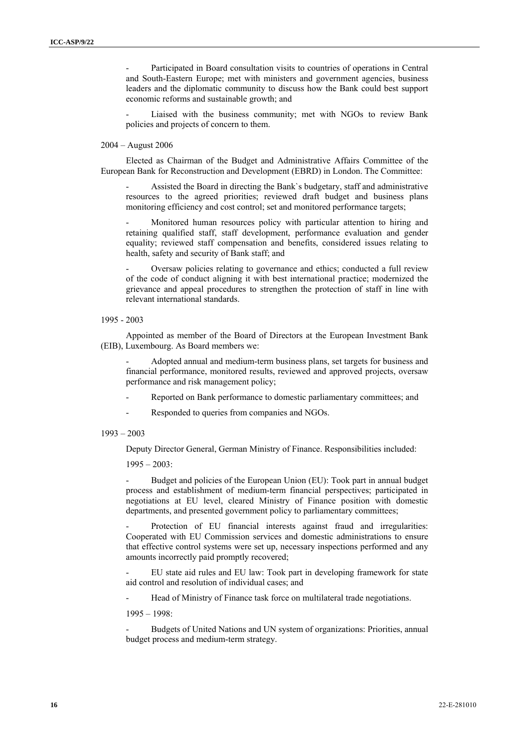Participated in Board consultation visits to countries of operations in Central and South-Eastern Europe; met with ministers and government agencies, business leaders and the diplomatic community to discuss how the Bank could best support economic reforms and sustainable growth; and

Liaised with the business community; met with NGOs to review Bank policies and projects of concern to them.

#### 2004 – August 2006

Elected as Chairman of the Budget and Administrative Affairs Committee of the European Bank for Reconstruction and Development (EBRD) in London. The Committee:

- Assisted the Board in directing the Bank`s budgetary, staff and administrative resources to the agreed priorities; reviewed draft budget and business plans monitoring efficiency and cost control; set and monitored performance targets;

Monitored human resources policy with particular attention to hiring and retaining qualified staff, staff development, performance evaluation and gender equality; reviewed staff compensation and benefits, considered issues relating to health, safety and security of Bank staff; and

- Oversaw policies relating to governance and ethics; conducted a full review of the code of conduct aligning it with best international practice; modernized the grievance and appeal procedures to strengthen the protection of staff in line with relevant international standards.

1995 - 2003

Appointed as member of the Board of Directors at the European Investment Bank (EIB), Luxembourg. As Board members we:

- Adopted annual and medium-term business plans, set targets for business and financial performance, monitored results, reviewed and approved projects, oversaw performance and risk management policy;

- Reported on Bank performance to domestic parliamentary committees; and
- Responded to queries from companies and NGOs.

#### 1993 – 2003

Deputy Director General, German Ministry of Finance. Responsibilities included:

 $1995 - 2003$ :

Budget and policies of the European Union (EU): Took part in annual budget process and establishment of medium-term financial perspectives; participated in negotiations at EU level, cleared Ministry of Finance position with domestic departments, and presented government policy to parliamentary committees;

Protection of EU financial interests against fraud and irregularities: Cooperated with EU Commission services and domestic administrations to ensure that effective control systems were set up, necessary inspections performed and any amounts incorrectly paid promptly recovered;

- EU state aid rules and EU law: Took part in developing framework for state aid control and resolution of individual cases; and

Head of Ministry of Finance task force on multilateral trade negotiations.

1995 – 1998:

- Budgets of United Nations and UN system of organizations: Priorities, annual budget process and medium-term strategy.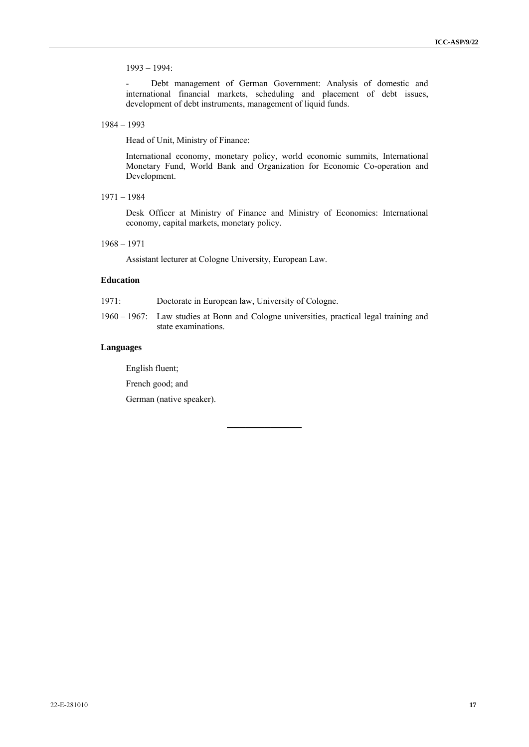1993 – 1994:

- Debt management of German Government: Analysis of domestic and international financial markets, scheduling and placement of debt issues, development of debt instruments, management of liquid funds.

1984 – 1993

Head of Unit, Ministry of Finance:

International economy, monetary policy, world economic summits, International Monetary Fund, World Bank and Organization for Economic Co-operation and Development.

1971 – 1984

Desk Officer at Ministry of Finance and Ministry of Economics: International economy, capital markets, monetary policy.

1968 – 1971

Assistant lecturer at Cologne University, European Law.

### **Education**

- 1971: Doctorate in European law, University of Cologne.
- 1960 1967: Law studies at Bonn and Cologne universities, practical legal training and state examinations.

**\_\_\_\_\_\_\_\_\_\_\_\_** 

### **Languages**

English fluent;

French good; and

German (native speaker).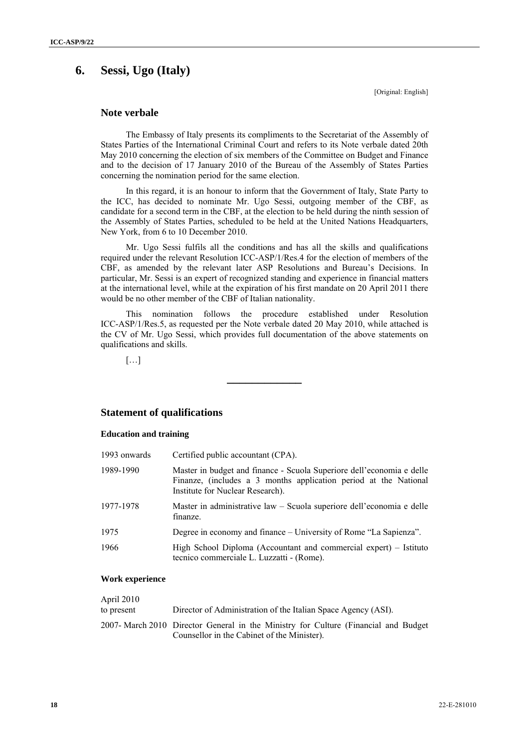## **6. Sessi, Ugo (Italy)**

[Original: English]

### **Note verbale**

The Embassy of Italy presents its compliments to the Secretariat of the Assembly of States Parties of the International Criminal Court and refers to its Note verbale dated 20th May 2010 concerning the election of six members of the Committee on Budget and Finance and to the decision of 17 January 2010 of the Bureau of the Assembly of States Parties concerning the nomination period for the same election.

In this regard, it is an honour to inform that the Government of Italy, State Party to the ICC, has decided to nominate Mr. Ugo Sessi, outgoing member of the CBF, as candidate for a second term in the CBF, at the election to be held during the ninth session of the Assembly of States Parties, scheduled to be held at the United Nations Headquarters, New York, from 6 to 10 December 2010.

Mr. Ugo Sessi fulfils all the conditions and has all the skills and qualifications required under the relevant Resolution ICC-ASP/1/Res.4 for the election of members of the CBF, as amended by the relevant later ASP Resolutions and Bureau's Decisions. In particular, Mr. Sessi is an expert of recognized standing and experience in financial matters at the international level, while at the expiration of his first mandate on 20 April 2011 there would be no other member of the CBF of Italian nationality.

This nomination follows the procedure established under Resolution ICC-ASP/1/Res.5, as requested per the Note verbale dated 20 May 2010, while attached is the CV of Mr. Ugo Sessi, which provides full documentation of the above statements on qualifications and skills.

**\_\_\_\_\_\_\_\_\_\_\_\_** 

[…]

### **Statement of qualifications**

### **Education and training**

| 1993 onwards | Certified public accountant (CPA).                                                                                                                                            |
|--------------|-------------------------------------------------------------------------------------------------------------------------------------------------------------------------------|
| 1989-1990    | Master in budget and finance - Scuola Superiore dell'economia e delle<br>Finanze, (includes a 3 months application period at the National<br>Institute for Nuclear Research). |
| 1977-1978    | Master in administrative law – Scuola superiore dell'economia e delle<br>finanze.                                                                                             |
| 1975         | Degree in economy and finance – University of Rome "La Sapienza".                                                                                                             |
| 1966         | High School Diploma (Accountant and commercial expert) – Istituto<br>tecnico commerciale L. Luzzatti - (Rome).                                                                |

### **Work experience**

| April 2010 |                                                                                                                                    |
|------------|------------------------------------------------------------------------------------------------------------------------------------|
| to present | Director of Administration of the Italian Space Agency (ASI).                                                                      |
|            | 2007- March 2010 Director General in the Ministry for Culture (Financial and Budget<br>Counsellor in the Cabinet of the Minister). |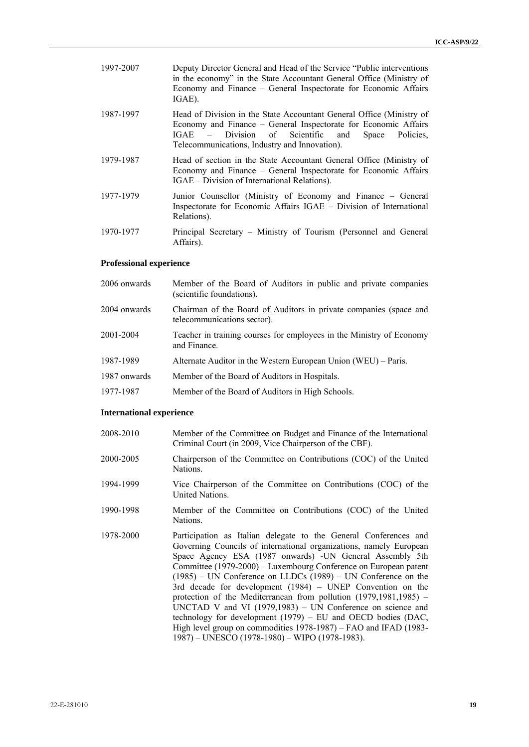| 1997-2007 | Deputy Director General and Head of the Service "Public interventions"<br>in the economy" in the State Accountant General Office (Ministry of<br>Economy and Finance - General Inspectorate for Economic Affairs<br>IGAE).                          |
|-----------|-----------------------------------------------------------------------------------------------------------------------------------------------------------------------------------------------------------------------------------------------------|
| 1987-1997 | Head of Division in the State Accountant General Office (Ministry of<br>Economy and Finance – General Inspectorate for Economic Affairs<br>IGAE – Division of Scientific and<br>Space<br>Policies.<br>Telecommunications, Industry and Innovation). |
| 1979-1987 | Head of section in the State Accountant General Office (Ministry of<br>Economy and Finance – General Inspectorate for Economic Affairs<br>IGAE – Division of International Relations).                                                              |
| 1977-1979 | Junior Counsellor (Ministry of Economy and Finance – General<br>Inspectorate for Economic Affairs IGAE – Division of International<br>Relations).                                                                                                   |
| 1970-1977 | Principal Secretary – Ministry of Tourism (Personnel and General<br>Affairs).                                                                                                                                                                       |

### **Professional experience**

| 2006 onwards | Member of the Board of Auditors in public and private companies<br>(scientific foundations).     |
|--------------|--------------------------------------------------------------------------------------------------|
| 2004 onwards | Chairman of the Board of Auditors in private companies (space and<br>telecommunications sector). |
| 2001-2004    | Teacher in training courses for employees in the Ministry of Economy<br>and Finance.             |
| 1987-1989    | Alternate Auditor in the Western European Union (WEU) – Paris.                                   |
| 1987 onwards | Member of the Board of Auditors in Hospitals.                                                    |
| 1977-1987    | Member of the Board of Auditors in High Schools.                                                 |

### **International experience**

| 2008-2010 | Member of the Committee on Budget and Finance of the International<br>Criminal Court (in 2009, Vice Chairperson of the CBF).                                                                                                                                                                                                                                                                                                                                                                                                                                                                                                                                                                                                                |
|-----------|---------------------------------------------------------------------------------------------------------------------------------------------------------------------------------------------------------------------------------------------------------------------------------------------------------------------------------------------------------------------------------------------------------------------------------------------------------------------------------------------------------------------------------------------------------------------------------------------------------------------------------------------------------------------------------------------------------------------------------------------|
| 2000-2005 | Chairperson of the Committee on Contributions (COC) of the United<br>Nations.                                                                                                                                                                                                                                                                                                                                                                                                                                                                                                                                                                                                                                                               |
| 1994-1999 | Vice Chairperson of the Committee on Contributions (COC) of the<br>United Nations.                                                                                                                                                                                                                                                                                                                                                                                                                                                                                                                                                                                                                                                          |
| 1990-1998 | Member of the Committee on Contributions (COC) of the United<br>Nations.                                                                                                                                                                                                                                                                                                                                                                                                                                                                                                                                                                                                                                                                    |
| 1978-2000 | Participation as Italian delegate to the General Conferences and<br>Governing Councils of international organizations, namely European<br>Space Agency ESA (1987 onwards) - UN General Assembly 5th<br>Committee (1979-2000) – Luxembourg Conference on European patent<br>$(1985)$ – UN Conference on LLDCs $(1989)$ – UN Conference on the<br>3rd decade for development (1984) – UNEP Convention on the<br>protection of the Mediterranean from pollution $(1979, 1981, 1985)$ –<br>UNCTAD V and VI $(1979,1983)$ – UN Conference on science and<br>technology for development $(1979)$ – EU and OECD bodies (DAC,<br>High level group on commodities 1978-1987) – FAO and IFAD (1983-<br>1987) – UNESCO (1978-1980) – WIPO (1978-1983). |